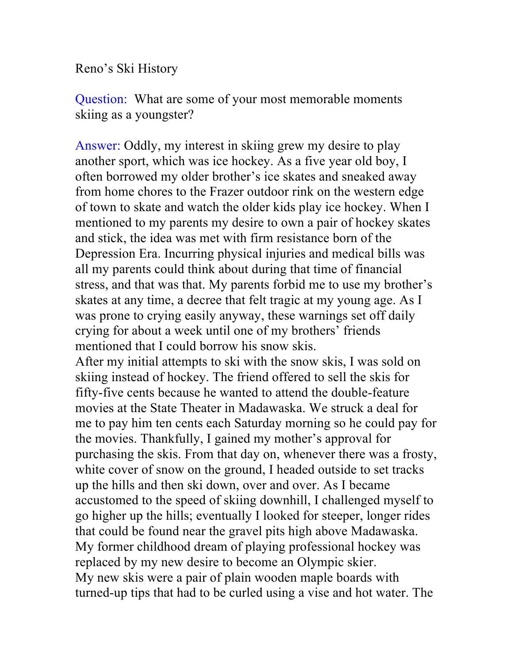Reno's Ski History

Question: What are some of your most memorable moments skiing as a youngster?

Answer: Oddly, my interest in skiing grew my desire to play another sport, which was ice hockey. As a five year old boy, I often borrowed my older brother's ice skates and sneaked away from home chores to the Frazer outdoor rink on the western edge of town to skate and watch the older kids play ice hockey. When I mentioned to my parents my desire to own a pair of hockey skates and stick, the idea was met with firm resistance born of the Depression Era. Incurring physical injuries and medical bills was all my parents could think about during that time of financial stress, and that was that. My parents forbid me to use my brother's skates at any time, a decree that felt tragic at my young age. As I was prone to crying easily anyway, these warnings set off daily crying for about a week until one of my brothers' friends mentioned that I could borrow his snow skis.

After my initial attempts to ski with the snow skis, I was sold on skiing instead of hockey. The friend offered to sell the skis for fifty-five cents because he wanted to attend the double-feature movies at the State Theater in Madawaska. We struck a deal for me to pay him ten cents each Saturday morning so he could pay for the movies. Thankfully, I gained my mother's approval for purchasing the skis. From that day on, whenever there was a frosty, white cover of snow on the ground, I headed outside to set tracks up the hills and then ski down, over and over. As I became accustomed to the speed of skiing downhill, I challenged myself to go higher up the hills; eventually I looked for steeper, longer rides that could be found near the gravel pits high above Madawaska. My former childhood dream of playing professional hockey was replaced by my new desire to become an Olympic skier. My new skis were a pair of plain wooden maple boards with turned-up tips that had to be curled using a vise and hot water. The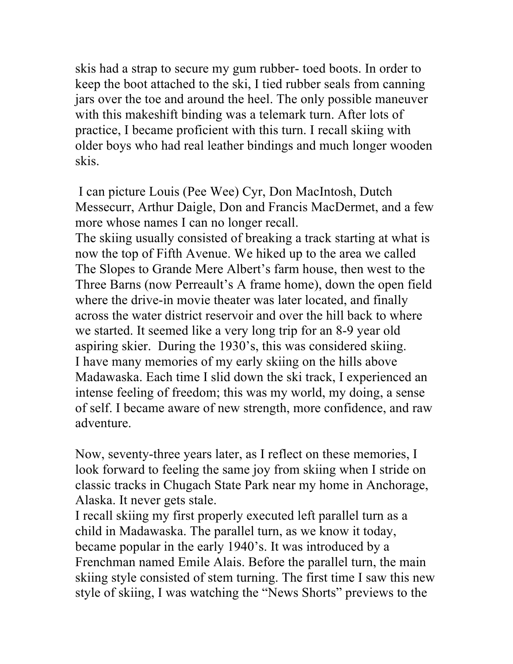skis had a strap to secure my gum rubber- toed boots. In order to keep the boot attached to the ski, I tied rubber seals from canning jars over the toe and around the heel. The only possible maneuver with this makeshift binding was a telemark turn. After lots of practice, I became proficient with this turn. I recall skiing with older boys who had real leather bindings and much longer wooden skis.

I can picture Louis (Pee Wee) Cyr, Don MacIntosh, Dutch Messecurr, Arthur Daigle, Don and Francis MacDermet, and a few more whose names I can no longer recall.

The skiing usually consisted of breaking a track starting at what is now the top of Fifth Avenue. We hiked up to the area we called The Slopes to Grande Mere Albert's farm house, then west to the Three Barns (now Perreault's A frame home), down the open field where the drive-in movie theater was later located, and finally across the water district reservoir and over the hill back to where we started. It seemed like a very long trip for an 8-9 year old aspiring skier. During the 1930's, this was considered skiing. I have many memories of my early skiing on the hills above Madawaska. Each time I slid down the ski track, I experienced an intense feeling of freedom; this was my world, my doing, a sense of self. I became aware of new strength, more confidence, and raw adventure.

Now, seventy-three years later, as I reflect on these memories, I look forward to feeling the same joy from skiing when I stride on classic tracks in Chugach State Park near my home in Anchorage, Alaska. It never gets stale.

I recall skiing my first properly executed left parallel turn as a child in Madawaska. The parallel turn, as we know it today, became popular in the early 1940's. It was introduced by a Frenchman named Emile Alais. Before the parallel turn, the main skiing style consisted of stem turning. The first time I saw this new style of skiing, I was watching the "News Shorts" previews to the